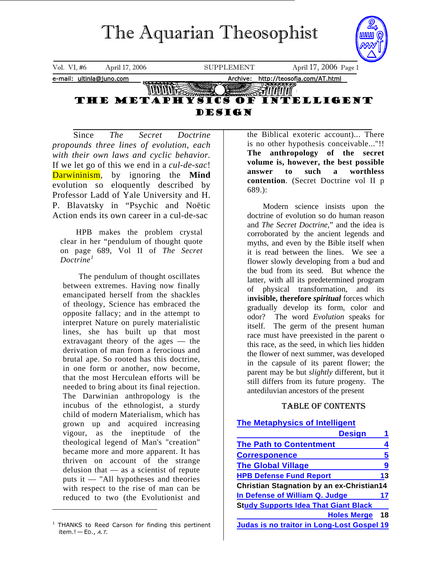# The Aquarian Theosophist

<span id="page-0-1"></span>

Since *The Secret Doctrine propounds three lines of evolution, each with their own laws and cyclic behavior.*  If we let go of this we end in a *cul-de-sac*! Darwininism, by ignoring the **Mind** evolution so eloquently described by Professor Ladd of Yale University and H. P. Blavatsky in "Psychic and Noëtic Action ends its own career in a cul-de-sac

HPB makes the problem crystal clear in her "pendulum of thought quote on page 689, Vol II of *The Secret Doctrine[1](#page-0-0)*

The pendulum of thought oscillates between extremes. Having now finally emancipated herself from the shackles of theology, Science has embraced the opposite fallacy; and in the attempt to interpret Nature on purely materialistic lines, she has built up that most extravagant theory of the ages — the derivation of man from a ferocious and brutal ape. So rooted has this doctrine, in one form or another, now become, that the most Herculean efforts will be needed to bring about its final rejection. The Darwinian anthropology is the incubus of the ethnologist, a sturdy child of modern Materialism, which has grown up and acquired increasing vigour, as the ineptitude of the theological legend of Man's "creation" became more and more apparent. It has thriven on account of the strange delusion that — as a scientist of repute puts it — "All hypotheses and theories with respect to the rise of man can be reduced to two (the Evolutionist and

<span id="page-0-0"></span><sup>1</sup> THANKS to Reed Carson for finding this pertinent item. $! -$  ED., A.T.

the Biblical exoteric account)... There is no other hypothesis conceivable..."!! **The anthropology of the secret volume is, however, the best possible answer to such a worthless contention**. (Secret Doctrine vol II p 689.):

Modern science insists upon the doctrine of evolution so do human reason and *The Secret Doctrine,*" and the idea is corroborated by the ancient legends and myths, and even by the Bible itself when it is read between the lines. We see a flower slowly developing from a bud and the bud from its seed. But whence the latter, with all its predetermined program of physical transformation, and its i**nvisible, therefore** *spiritual* forces which gradually develop its form, color and odor? The word *Evolution* speaks for itself. The germ of the present human race must have preexisted in the parent o this race, as the seed, in which lies hidden the flower of next summer, was developed in the capsule of its parent flower; the parent may be but *slightly* different, but it still differs from its future progeny. The antediluvian ancestors of the present

#### TABLE OF CONTENTS

#### **[The Metaphysics of Intelligent](#page-0-1)**

| <b>Design</b>                                     |    |  |
|---------------------------------------------------|----|--|
| <b>The Path to Contentment</b>                    | 4  |  |
| <b>Corresponence</b>                              | 5  |  |
| <b>The Global Village</b>                         | 9  |  |
| <b>HPB Defense Fund Report</b>                    | 13 |  |
| <b>Christian Stagnation by an ex-Christian14</b>  |    |  |
| In Defense of William Q. Judge                    | 17 |  |
| <b>Study Supports Idea That Giant Black</b>       |    |  |
| <b>Holes Merge</b>                                | 18 |  |
| <b>Judas is no traitor in Long-Lost Gospel 19</b> |    |  |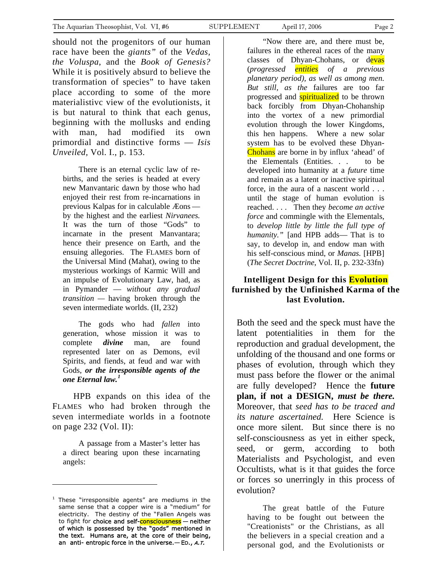should not the progenitors of our human race have been the *giants"* of the *Vedas, the Voluspa*, and the *Book of Genesis?* While it is positively absurd to believe the transformation of species" to have taken place according to some of the more materialistivc view of the evolutionists, it is but natural to think that each genus, beginning with the mollusks and ending with man, had modified its own primordial and distinctive forms — *Isis Unveiled,* Vol. I., p. 153.

There is an eternal cyclic law of rebirths, and the series is headed at every new Manvantaric dawn by those who had enjoyed their rest from re-incarnations in previous Kalpas for in calculable Æons by the highest and the earliest *Nirvanees.*  It was the turn of those "Gods" to incarnate in the present Manvantara; hence their presence on Earth, and the ensuing allegories. The FLAMES born of the Universal Mind (Mahat), owing to the mysterious workings of Karmic Will and an impulse of Evolutionary Law, had, as in Pymander — *without any gradual transition —* having broken through the seven intermediate worlds. (II, 232)

The gods who had *fallen* into generation, whose mission it was to complete *divine* man, are found represented later on as Demons, evil Spirits, and fiends, at feud and war with Gods, *or the irresponsible agents of the one Eternal law.[1](#page-1-0)*

HPB expands on this idea of the FLAMES who had broken through the seven intermediate worlds in a footnote on page 232 (Vol. II):

A passage from a Master's letter has a direct bearing upon these incarnating angels:

 $\overline{a}$ 

"Now there are, and there must be, failures in the ethereal races of the many classes of Dhyan-Chohans, or devas (*progressed entities of a previous planetary period), as well as among men. But still, as the* failures are too far progressed and **spiritualized** to be thrown back forcibly from Dhyan-Chohanship into the vortex of a new primordial evolution through the lower Kingdoms, this hen happens. Where a new solar system has to be evolved these Dhyan-Chohans are borne in by influx 'ahead' of the Elementals (Entities. . . to be developed into humanity at a *future* time and remain as a latent or inactive spiritual force, in the aura of a nascent world . . . until the stage of human evolution is reached. . . . Then they *become an active force* and commingle with the Elementals, to *develop little by little the full type of humanity."* [and HPB adds— That is to say, to develop in, and endow man with his self-conscious mind, or *Manas.* [HPB] (*The Secret Doctrine*, Vol. II, p. 232-33fn)

#### **Intelligent Design for this Evolution furnished by the Unfinished Karma of the last Evolution.**

Both the seed and the speck must have the latent potentialities in them for the reproduction and gradual development, the unfolding of the thousand and one forms or phases of evolution, through which they must pass before the flower or the animal are fully developed? Hence the **future plan, if not a DESIGN,** *must be there.* Moreover, that *seed has to be traced and its nature ascertained.* Here Science is once more silent. But since there is no self-consciousness as yet in either speck, seed, or germ, according to both Materialists and Psychologist, and even Occultists, what is it that guides the force or forces so unerringly in this process of evolution?

The great battle of the Future having to be fought out between the "Creationists" or the Christians, as all the believers in a special creation and a personal god, and the Evolutionists or

<span id="page-1-0"></span><sup>&</sup>lt;sup>1</sup> These "irresponsible agents" are mediums in the same sense that a copper wire is a "medium" for electricity. The destiny of the "Fallen Angels was to fight for choice and self-consciousness - neither of which is possessed by the "gods" mentioned in the text. Humans are, at the core of their being, an anti- entropic force in the universe.  $-$  ED., A.T.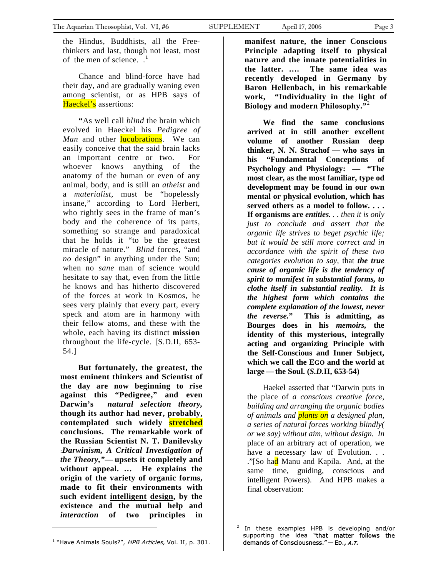the Hindus, Buddhists, all the Freethinkers and last, though not least, most of the men of science. .**[1](#page-2-0)**

Chance and blind-force have had their day, and are gradually waning even among scientist, or as HPB says of Haeckel's assertions:

**"**As well call *blind* the brain which evolved in Haeckel his *Pedigree of Man* and other **lucubrations**. We can easily conceive that the said brain lacks an important centre or two. For whoever knows anything of the anatomy of the human or even of any animal, body, and is still an *atheist* and a *materialist,* must be "hopelessly insane," according to Lord Herbert, who rightly sees in the frame of man's body and the coherence of its parts, something so strange and paradoxical that he holds it "to be the greatest miracle of nature." *Blind* forces, "and *no* design" in anything under the Sun; when no *sane* man of science would hesitate to say that, even from the little he knows and has hitherto discovered of the forces at work in Kosmos, he sees very plainly that every part, every speck and atom are in harmony with their fellow atoms, and these with the whole, each having its distinct **mission** throughout the life-cycle. [S.D.II, 653- 54.]

 **But fortunately, the greatest, the most eminent thinkers and Scientist of the day are now beginning to rise against this "Pedigree," and even Darwin's** *natural selection theory,*  **though its author had never, probably, contemplated such widely stretched conclusions. The remarkable work of the Russian Scientist N. T. Danilevsky :***Darwinism, A Critical Investigation of the Theory,"***— upsets it completely and without appeal. … He explains the origin of the variety of organic forms, made to fit their environments with such evident intelligent design, by the existence and the mutual help and**  *interaction* **of two principles in** 

**manifest nature, the inner Conscious Principle adapting itself to physical nature and the innate potentialities in the latter. …. The same idea was recently developed in Germany by Baron Hellenbach, in his remarkable work, "Individuality in the light of Biology and modern Philosophy."**[2](#page-2-1)

**We find the same conclusions arrived at in still another excellent volume of another Russian deep thinker, N. N. Strachof — who says in his "Fundamental Conceptions of Psychology and Physiology: — "The most clear, as the most familiar, type od development may be found in our own mental or physical evolution, which has served others as a model to follow. . . . If organisms are** *entities. . . then it is only just to conclude and assert that the organic life strives to beget psychic life; but it would be still more correct and in accordance with the spirit of these two categories evolution to say,* that *the true cause of organic life is the tendency of spirit to manifest in substantial forms, to clothe itself in substantial reality. It is the highest form which contains the complete explanation of the lowest, never the reverse.***" This is admitting, as Bourges does in his** *memoirs,* **the identity of this mysterious, integrally acting and organizing Principle with the Self-Conscious and Inner Subject, which we call the EGO and the world at large—the Soul. (***S.D.***II, 653-54)** 

Haekel asserted that "Darwin puts in the place of *a conscious creative force, building and arranging the organic bodies of animals and plants on a designed plan, a series of natural forces working blindly( or we say) without aim, without design. In* place of an arbitrary act of operation, we have a necessary law of Evolution. . . ."[So had Manu and Kapila. And, at the same time, guiding, conscious and intelligent Powers). And HPB makes a final observation:

<span id="page-2-1"></span><span id="page-2-0"></span>

<sup>2</sup> In these examples HPB is developing and/or supporting the idea "that matter follows the demands of Consciousness." — ED., <sup>A</sup>.T.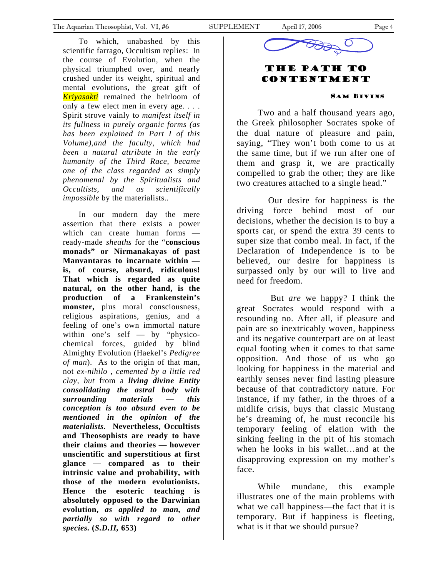To which, unabashed by this scientific farrago, Occultism replies: In the course of Evolution, when the physical triumphed over, and nearly crushed under its weight, spiritual and mental evolutions, the great gift of *Kriyasakti* remained the heirloom of only a few elect men in every age. . . . Spirit strove vainly to *manifest itself in its fullness in purely organic forms (as has been explained in Part I of this Volume),and the faculty, which had been a natural attribute in the early humanity of the Third Race, became one of the class regarded as simply phenomenal by the Spiritualists and Occultists, and as scientifically impossible* by the materialists.*.* 

In our modern day the mere assertion that there exists a power which can create human forms ready-made *sheaths* for the "**conscious monads" or Nirmanakayas of past Manvantaras to incarnate within is, of course, absurd, ridiculous! That which is regarded as quite natural, on the other hand, is the production of a Frankenstein's monster,** plus moral consciousness, religious aspirations, genius, and a feeling of one's own immortal nature within one's self — by "physicochemical forces, guided by blind Almighty Evolution (Haekel's *Pedigree of man*). As to the origin of that man, not *ex-nihilo , cemented by a little red clay, but* from a *living divine Entity consolidating the astral body with surrounding materials — this conception is too absurd even to be mentioned in the opinion of the materialists.* **Nevertheless, Occultists and Theosophists are ready to have their claims and theories — however unscientific and superstitious at first glance — compared as to their intrinsic value and probability, with those of the modern evolutionists. Hence the esoteric teaching is absolutely opposed to the Darwinian evolution,** *as applied to man, and partially so with regard to other species.* **(***S.D.II,* **653)**



### The Path to **CONTENTMENT**

#### SAM BIVINS

Two and a half thousand years ago, the Greek philosopher Socrates spoke of the dual nature of pleasure and pain, saying, "They won't both come to us at the same time, but if we run after one of them and grasp it, we are practically compelled to grab the other; they are like two creatures attached to a single head."

 Our desire for happiness is the driving force behind most of our decisions, whether the decision is to buy a sports car, or spend the extra 39 cents to super size that combo meal. In fact, if the Declaration of Independence is to be believed, our desire for happiness is surpassed only by our will to live and need for freedom.

 But *are* we happy? I think the great Socrates would respond with a resounding no. After all, if pleasure and pain are so inextricably woven, happiness and its negative counterpart are on at least equal footing when it comes to that same opposition. And those of us who go looking for happiness in the material and earthly senses never find lasting pleasure because of that contradictory nature. For instance, if my father, in the throes of a midlife crisis, buys that classic Mustang he's dreaming of, he must reconcile his temporary feeling of elation with the sinking feeling in the pit of his stomach when he looks in his wallet…and at the disapproving expression on my mother's face.

While mundane, this example illustrates one of the main problems with what we call happiness—the fact that it is temporary. But if happiness is fleeting, what is it that we should pursue?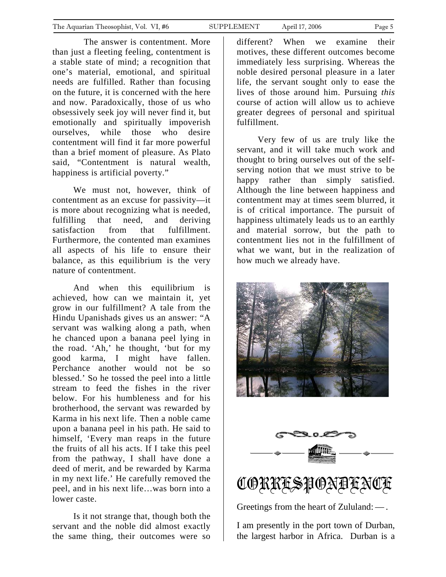<span id="page-4-0"></span> The answer is contentment. More than just a fleeting feeling, contentment is a stable state of mind; a recognition that one's material, emotional, and spiritual needs are fulfilled. Rather than focusing on the future, it is concerned with the here and now. Paradoxically, those of us who obsessively seek joy will never find it, but emotionally and spiritually impoverish ourselves, while those who desire contentment will find it far more powerful than a brief moment of pleasure. As Plato said, "Contentment is natural wealth, happiness is artificial poverty."

We must not, however, think of contentment as an excuse for passivity—it is more about recognizing what is needed, fulfilling that need, and deriving satisfaction from that fulfillment. Furthermore, the contented man examines all aspects of his life to ensure their balance, as this equilibrium is the very nature of contentment.

And when this equilibrium is achieved, how can we maintain it, yet grow in our fulfillment? A tale from the Hindu Upanishads gives us an answer: "A servant was walking along a path, when he chanced upon a banana peel lying in the road. 'Ah,' he thought, 'but for my good karma, I might have fallen. Perchance another would not be so blessed.' So he tossed the peel into a little stream to feed the fishes in the river below. For his humbleness and for his brotherhood, the servant was rewarded by Karma in his next life. Then a noble came upon a banana peel in his path. He said to himself, 'Every man reaps in the future the fruits of all his acts. If I take this peel from the pathway, I shall have done a deed of merit, and be rewarded by Karma in my next life.' He carefully removed the peel, and in his next life…was born into a lower caste.

Is it not strange that, though both the servant and the noble did almost exactly the same thing, their outcomes were so different? When we examine their motives, these different outcomes become immediately less surprising. Whereas the noble desired personal pleasure in a later life, the servant sought only to ease the lives of those around him. Pursuing *this* course of action will allow us to achieve greater degrees of personal and spiritual fulfillment.

Very few of us are truly like the servant, and it will take much work and thought to bring ourselves out of the selfserving notion that we must strive to be happy rather than simply satisfied. Although the line between happiness and contentment may at times seem blurred, it is of critical importance. The pursuit of happiness ultimately leads us to an earthly and material sorrow, but the path to contentment lies not in the fulfillment of what we want, but in the realization of how much we already have.





CORRESPONDENCE

Greetings from the heart of Zululand: — .

I am presently in the port town of Durban, the largest harbor in Africa. Durban is a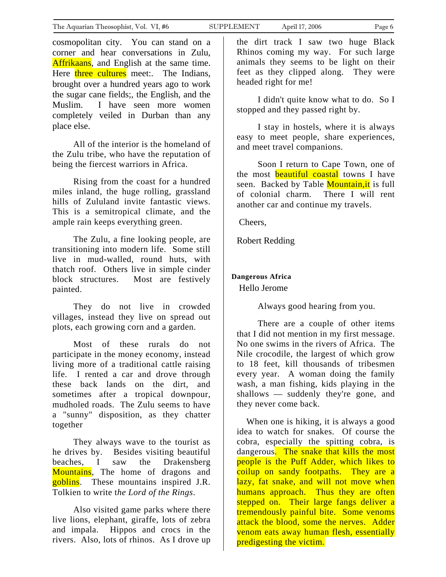cosmopolitan city. You can stand on a corner and hear conversations in Zulu, Affrikaans, and English at the same time. Here three cultures meet:. The Indians, brought over a hundred years ago to work the sugar cane fields;, the English, and the Muslim. I have seen more women completely veiled in Durban than any place else.

All of the interior is the homeland of the Zulu tribe, who have the reputation of being the fiercest warriors in Africa.

Rising from the coast for a hundred miles inland, the huge rolling, grassland hills of Zululand invite fantastic views. This is a semitropical climate, and the ample rain keeps everything green.

The Zulu, a fine looking people, are transitioning into modern life. Some still live in mud-walled, round huts, with thatch roof. Others live in simple cinder block structures. Most are festively painted.

They do not live in crowded villages, instead they live on spread out plots, each growing corn and a garden.

Most of these rurals do not participate in the money economy, instead living more of a traditional cattle raising life. I rented a car and drove through these back lands on the dirt, and sometimes after a tropical downpour, mudholed roads. The Zulu seems to have a "sunny" disposition, as they chatter together

They always wave to the tourist as he drives by. Besides visiting beautiful beaches, I saw the Drakensberg Mountains, The home of dragons and goblins. These mountains inspired J.R. Tolkien to write t*he Lord of the Rings*.

Also visited game parks where there live lions, elephant, giraffe, lots of zebra and impala. Hippos and crocs in the rivers. Also, lots of rhinos. As I drove up

the dirt track I saw two huge Black Rhinos coming my way. For such large animals they seems to be light on their feet as they clipped along. They were headed right for me!

I didn't quite know what to do. So I stopped and they passed right by.

I stay in hostels, where it is always easy to meet people, share experiences, and meet travel companions.

Soon I return to Cape Town, one of the most **beautiful coastal** towns I have seen. Backed by Table **Mountain, it** is full of colonial charm. There I will rent another car and continue my travels.

Cheers,

Robert Redding

#### **Dangerous Africa**

Hello Jerome

Always good hearing from you.

There are a couple of other items that I did not mention in my first message. No one swims in the rivers of Africa. The Nile crocodile, the largest of which grow to 18 feet, kill thousands of tribesmen every year. A woman doing the family wash, a man fishing, kids playing in the shallows — suddenly they're gone, and they never come back.

 When one is hiking, it is always a good idea to watch for snakes. Of course the cobra, especially the spitting cobra, is dangerous. The snake that kills the most people is the Puff Adder, which likes to coilup on sandy footpaths. They are a lazy, fat snake, and will not move when humans approach. Thus they are often stepped on. Their large fangs deliver a tremendously painful bite. Some venoms attack the blood, some the nerves. Adder venom eats away human flesh, essentially predigesting the victim.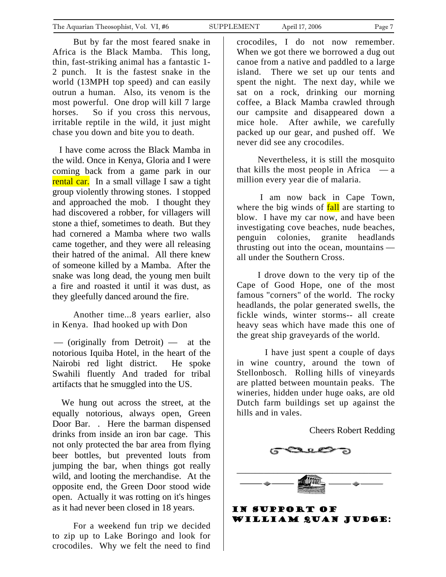But by far the most feared snake in Africa is the Black Mamba. This long, thin, fast-striking animal has a fantastic 1- 2 punch. It is the fastest snake in the world (13MPH top speed) and can easily outrun a human. Also, its venom is the most powerful. One drop will kill 7 large horses. So if you cross this nervous, irritable reptile in the wild, it just might chase you down and bite you to death.

 I have come across the Black Mamba in the wild. Once in Kenya, Gloria and I were coming back from a game park in our rental car. In a small village I saw a tight group violently throwing stones. I stopped and approached the mob. I thought they had discovered a robber, for villagers will stone a thief, sometimes to death. But they had cornered a Mamba where two walls came together, and they were all releasing their hatred of the animal. All there knew of someone killed by a Mamba. After the snake was long dead, the young men built a fire and roasted it until it was dust, as they gleefully danced around the fire.

Another time...8 years earlier, also in Kenya. Ihad hooked up with Don

— (originally from Detroit) — at the notorious Iquiba Hotel, in the heart of the Nairobi red light district. He spoke Swahili fluently And traded for tribal artifacts that he smuggled into the US.

 We hung out across the street, at the equally notorious, always open, Green Door Bar. . Here the barman dispensed drinks from inside an iron bar cage. This not only protected the bar area from flying beer bottles, but prevented louts from jumping the bar, when things got really wild, and looting the merchandise. At the opposite end, the Green Door stood wide open. Actually it was rotting on it's hinges as it had never been closed in 18 years.

For a weekend fun trip we decided to zip up to Lake Boringo and look for crocodiles. Why we felt the need to find crocodiles, I do not now remember. When we got there we borrowed a dug out canoe from a native and paddled to a large island. There we set up our tents and spent the night. The next day, while we sat on a rock, drinking our morning coffee, a Black Mamba crawled through our campsite and disappeared down a mice hole. After awhile, we carefully packed up our gear, and pushed off. We never did see any crocodiles.

Nevertheless, it is still the mosquito that kills the most people in Africa  $\overline{\phantom{a}}$   $\overline{\phantom{a}}$ million every year die of malaria.

 I am now back in Cape Town, where the big winds of **fall** are starting to blow. I have my car now, and have been investigating cove beaches, nude beaches, penguin colonies, granite headlands thrusting out into the ocean, mountains all under the Southern Cross.

I drove down to the very tip of the Cape of Good Hope, one of the most famous "corners" of the world. The rocky headlands, the polar generated swells, the fickle winds, winter storms-- all create heavy seas which have made this one of the great ship graveyards of the world.

 I have just spent a couple of days in wine country, around the town of Stellonbosch. Rolling hills of vineyards are platted between mountain peaks. The wineries, hidden under huge oaks, are old Dutch farm buildings set up against the hills and in vales.

Cheers Robert Redding



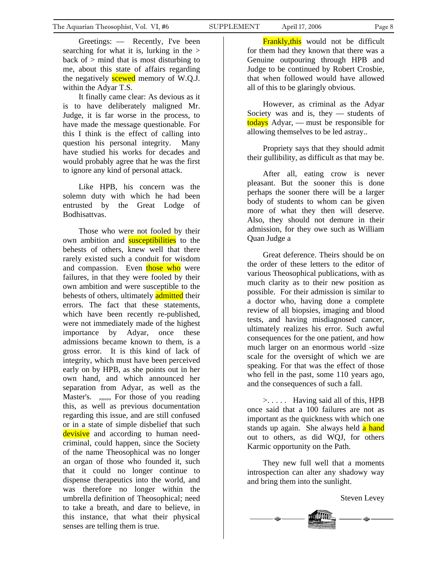Greetings: — Recently, I've been searching for what it is, lurking in the  $>$ back of  $>$  mind that is most disturbing to me, about this state of affairs regarding the negatively **scewed** memory of W.Q.J. within the Adyar T.S.

It finally came clear: As devious as it is to have deliberately maligned Mr. Judge, it is far worse in the process, to have made the message questionable. For this I think is the effect of calling into question his personal integrity. Many have studied his works for decades and would probably agree that he was the first to ignore any kind of personal attack.

Like HPB, his concern was the solemn duty with which he had been entrusted by the Great Lodge of Bodhisattvas.

Those who were not fooled by their own ambition and **susceptibilities** to the behests of others, knew well that there rarely existed such a conduit for wisdom and compassion. Even those who were failures, in that they were fooled by their own ambition and were susceptible to the behests of others, ultimately **admitted** their errors. The fact that these statements, which have been recently re-published, were not immediately made of the highest importance by Adyar, once these admissions became known to them, is a gross error. It is this kind of lack of integrity, which must have been perceived early on by HPB, as she points out in her own hand, and which announced her separation from Adyar, as well as the Master's. ,,,,, For those of you reading this, as well as previous documentation regarding this issue, and are still confused or in a state of simple disbelief that such devisive and according to human needcriminal, could happen, since the Society of the name Theosophical was no longer an organ of those who founded it, such that it could no longer continue to dispense therapeutics into the world, and was therefore no longer within the umbrella definition of Theosophical; need to take a breath, and dare to believe, in this instance, that what their physical senses are telling them is true.

**Frankly, this** would not be difficult for them had they known that there was a Genuine outpouring through HPB and Judge to be continued by Robert Crosbie, that when followed would have allowed all of this to be glaringly obvious.

However, as criminal as the Adyar Society was and is, they  $-$  students of todays Adyar, — must be responsible for allowing themselves to be led astray..

Propriety says that they should admit their gullibility, as difficult as that may be.

After all, eating crow is never pleasant. But the sooner this is done perhaps the sooner there will be a larger body of students to whom can be given more of what they then will deserve. Also, they should not demure in their admission, for they owe such as William Quan Judge a

Great deference. Theirs should be on the order of these letters to the editor of various Theosophical publications, with as much clarity as to their new position as possible. For their admission is similar to a doctor who, having done a complete review of all biopsies, imaging and blood tests, and having misdiagnosed cancer, ultimately realizes his error. Such awful consequences for the one patient, and how much larger on an enormous world -size scale for the oversight of which we are speaking. For that was the effect of those who fell in the past, some 110 years ago, and the consequences of such a fall.

>. . . . . Having said all of this, HPB once said that a 100 failures are not as important as the quickness with which one stands up again. She always held a hand out to others, as did WQJ, for others Karmic opportunity on the Path.

They new full well that a moments introspection can alter any shadowy way and bring them into the sunlight.

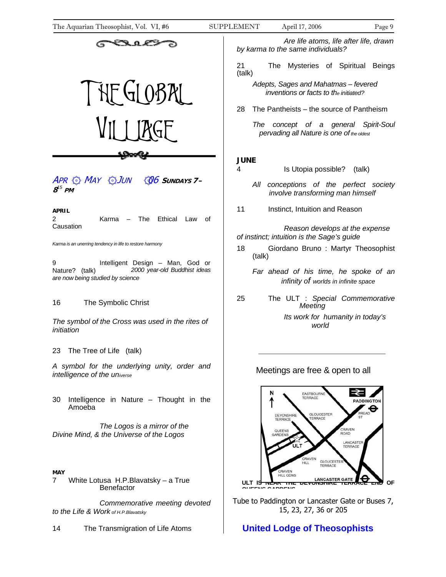<span id="page-8-0"></span>The Aquarian Theosophist, Vol. VI, #6 SUPPLEMENT April 17, 2006 Page 9



APR MAY JUN 06 **<sup>S</sup>UNDAYS 7– 8** *<sup>15</sup>* **PM**

#### **APRIL**

2 Karma – The Ethical Law of Causation

*Karma is an unerring tendency in life to restore harmony* 

9 Intelligent Design – Man, God or Nature? (talk) *2000 year-old Buddhist ideas are now being studied by science* 

#### 16 The Symbolic Christ

*The symbol of the Cross was used in the rites of initiation* 

23 The Tree of Life (talk)

*A symbol for the underlying unity, order and intelligence of the universe* 

30 Intelligence in Nature – Thought in the Amoeba

 *The Logos is a mirror of the Divine Mind, & the Universe of the Logos* 

#### **MAY**

7 White Lotusa H.P.Blavatsky – a True **Benefactor** 

 *Commemorative meeting devoted to the Life & Work of H.P.Blavatsky* 

14 The Transmigration of Life Atoms

 *Are life atoms, life after life, drawn by karma to the same individuals?* 

21 The Mysteries of Spiritual Beings (talk)

*Adepts, Sages and Mahatmas – fevered inventions or facts to the initiated?*

28 The Pantheists – the source of Pantheism

 *The concept of a general Spirit-Soul pervading all Nature is one of the oldest* 

#### **JUNE**

- 4 Is Utopia possible? (talk)
	- ۞ ۞ ۞ *All conceptions of the perfect society involve transforming man himself*
- 11 **Instinct, Intuition and Reason**

 *Reason develops at the expense of instinct; intuition is the Sage's guide* 

- 18 Giordano Bruno : Martyr Theosophist (talk)
	- *Far ahead of his time, he spoke of an infinity of worlds in infinite space*
- 25 The ULT : *Special Commemorative Meeting Its work for humanity in today's*

 *world* 

#### Meetings are free & open to all



Tube to Paddington or Lancaster Gate or Buses 7, 15, 23, 27, 36 or 205

## **United Lodge of Theosophists**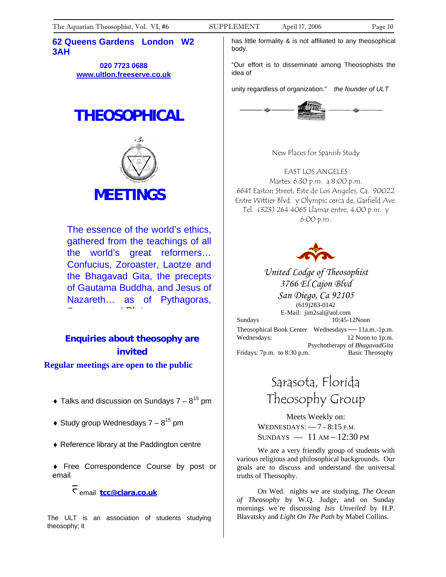#### **62 Queens Gardens London W2 3AH**

**020 7723 0688 [www.ultlon.freeserve.co.uk](http://www.ultlon.freeserve.co.uk/)**

# **THEOSOPHICAL**



The essence of the world's ethics, gathered from the teachings of all the world's great reformers… Confucius, Zoroaster, Laotze and the Bhagavad Gita, the precepts of Gautama Buddha, and Jesus of Nazareth… as of Pythagoras, S to play the product of the Play of the Play of the Play of the Play of the Play of the Play of the Play of the<br>Second the Play of the Play of the Play of the Play of the Play of the Play of the Play of the Play of the Pl

# **Enquiries about theosophy are invited**

**Regular meetings are open to the public**

- $\bullet$  Talks and discussion on Sundays 7  $8^{15}$  pm
- $\triangleleft$  Study group Wednesdays 7  $8^{15}$  pm
- ♦ Reference library at the Paddington centre

♦ Free Correspondence Course by post or email

l email **[tcc@clara.co.uk](mailto:tcc@clara.co.uk)**

The ULT is an association of students studying theosophy; it

has little formality & is not affiliated to any theosophical body.

"Our effort is to disseminate among Theosophists the idea of

unity regardless of organization." *the founder of ULT* 



New Places for Spanish Study

EAST LOS ANGELES Martes: 6:30 p.m. a 8:00 p.m. 6641 Easton Street, Este de Los Angeles, Ca. 90022 Entre Wittier Blvd. y Olympic cerca de, Garfield Ave. Tel. (323) 264 4065 Llamar entre, 4:00 p.m. y 6:00 p.m.



*United Lodge of Theosophist 3766 El Cajon Blvd San Diego, Ca 92105*  (619)283-0142

E-Mail: jim2sal@aol.com Sundays 10:45-12Noon Theosophical Book Center Wednesdays—11a.m.-1p.m. Wednesdays: 12 Noon to 1p.m. Psychotherapy of *BhagavadGita* Fridays: 7p.m. to 8:30 p.m. Basic Theosophy

# Sarasota, Florida Theosophy Group

Meets Weekly on: WEDNESDAYS:—7 - 8:15 P.M.  $SUNDAYS$   $-11 AM-12:30 PM$ 

We are a very friendly group of students with various religious and philosophical backgrounds. Our goals are to discuss and understand the universal truths of Theosophy.

On Wed. nights we are studying, *The Ocean of Theosophy* by W.Q. Judge, and on Sunday mornings we're discussing *Isis Unveiled* by H.P. Blavatsky and *Light On The Path* by Mabel Collins.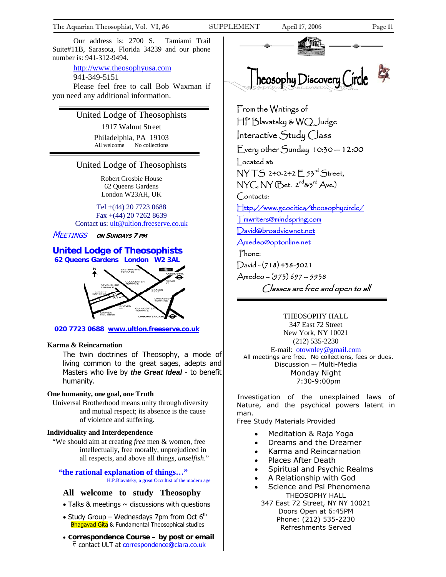Our address is: 2700 S. Tamiami Trail Suite#11B, Sarasota, Florida 34239 and our phone number is: 941-312-9494.

http://www.theosophyusa.com

941-349-5151

Please feel free to call Bob Waxman if you need any additional information.

United Lodge of Theosophists

1917 Walnut Street Philadelphia, PA 19103 All welcome No collections

#### United Lodge of Theosophists

Robert Crosbie House 62 Queens Gardens London W23AH, UK

Tel +(44) 20 7723 0688 Fax +(44) 20 7262 8639 Contact us: [ult@ultlon.freeserve.co.uk](mailto:ult@ultlon.freeserve.co.uk)

MEETINGS **ON SUNDAYS 7 PM**

#### **United Lodge of Theosophists 62 Queens Gardens London W2 3AL**

j



 **020 7723 0688 www.ultlon.freeserve.co.uk**

#### **Karma & Reincarnation**

The twin doctrines of Theosophy, a mode of living common to the great sages, adepts and Masters who live by *the Great Ideal* - to benefit humanity.

#### **One humanity, one goal, one Truth**

Universal Brotherhood means unity through diversity and mutual respect; its absence is the cause of violence and suffering.

#### **Individuality and Interdependence**

"We should aim at creating *free* men & women, free intellectually, free morally, unprejudiced in all respects, and above all things, *unselfish*."

**"the rational explanation of things…"** H.P.Blavatsky, a great Occultist of the modern age

#### **All welcome to study Theosophy**

- $\bullet$  Talks & meetings  $\sim$  discussions with questions
- Study Group Wednesdays 7pm from Oct  $6<sup>th</sup>$ Bhagavad Gita & Fundamental Theosophical studies
- **Correspondence Course by post or email**  $\overline{C}$  contact ULT at correspondence@clara.co.uk



From the Writings of HP Blavatsky & WQ Judge Interactive Study Class Every other Sunday 10:30 — 12:00 Located at: NY T.S 240-242 F 53rd Street,  $NYC, NY$  (Bet.  $2^{nd}$ &3 $^{rd}$  Ave.) Contacts: [Http://www.geocities/theosophycircle/](http://www.geocities/theosophycircle/)  [Tmwriters@mindspring.com](mailto:Tmwriters@mindspring.com) [David@broadviewnet.net](mailto:David@broadviewnet.net) [Amedeo@optonline.net](mailto:Amedeo@optonline.net)  Phone: David - (718) 438-5021

Amedeo – (973) 697 – 5938 Classes are free and open to all

THEOSOPHY HALL 347 East 72 Street New York, NY 10021 (212) 535-2230 E-mail: [otownley@gmail.com](mailto:Uotownley@gmail.comU) All meetings are free. No collections, fees or dues. Discussion — Multi-Media Monday Night 7:30-9:00pm

Investigation of the unexplained laws of Nature, and the psychical powers latent in man.

Free Study Materials Provided

- Meditation & Raja Yoga
- Dreams and the Dreamer
- Karma and Reincarnation
- Places After Death
- Spiritual and Psychic Realms
- A Relationship with God
- Science and Psi Phenomena THEOSOPHY HALL
- 347 East 72 Street, NY NY 10021 Doors Open at 6:45PM Phone: (212) 535-2230 Refreshments Served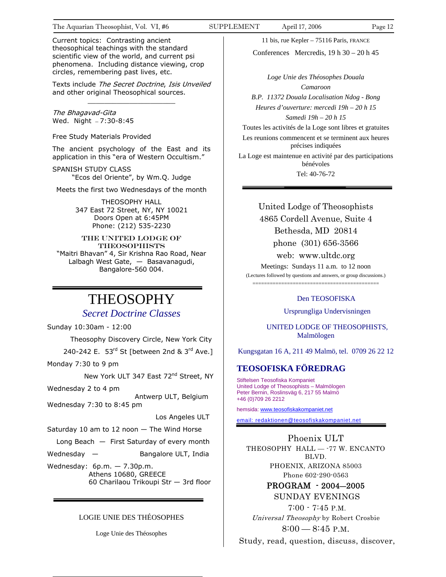Current topics: Contrasting ancient theosophical teachings with the standard scientific view of the world, and current psi phenomena. Including distance viewing, crop circles, remembering past lives, etc.

Texts include The Secret Doctrine, Isis Unveiled and other original Theosophical sources.  $\frac{1}{2}$  ,  $\frac{1}{2}$  ,  $\frac{1}{2}$  ,  $\frac{1}{2}$  ,  $\frac{1}{2}$  ,  $\frac{1}{2}$  ,  $\frac{1}{2}$  ,  $\frac{1}{2}$  ,  $\frac{1}{2}$  ,  $\frac{1}{2}$  ,  $\frac{1}{2}$  ,  $\frac{1}{2}$  ,  $\frac{1}{2}$  ,  $\frac{1}{2}$  ,  $\frac{1}{2}$  ,  $\frac{1}{2}$  ,  $\frac{1}{2}$  ,  $\frac{1}{2}$  ,  $\frac{1$ 

The Bhagavad-Gita Wed. Night — 7:30-8:45

Free Study Materials Provided

The ancient psychology of the East and its application in this "era of Western Occultism."

SPANISH STUDY CLASS "Ecos del Oriente", by Wm.Q. Judge

Meets the first two Wednesdays of the month

THEOSOPHY HALL 347 East 72 Street, NY, NY 10021 Doors Open at 6:45PM Phone: (212) 535-2230

THE UNITED LODGE OF **THEOSOPHISTS** "Maitri Bhavan" 4, Sir Krishna Rao Road, Near Lalbagh West Gate, — Basavanagudi, Bangalore-560 004.

# THEOSOPHY

#### *Secret Doctrine Classes*

Sunday 10:30am - 12:00

Theosophy Discovery Circle, New York City

240-242 E. 53rd St [between 2nd &  $3^{rd}$  Ave.]

Monday 7:30 to 9 pm

New York ULT 347 East 72<sup>nd</sup> Street, NY

Wednesday 2 to 4 pm

 Antwerp ULT, Belgium Wednesday 7:30 to 8:45 pm

Los Angeles ULT

Saturday 10 am to 12 noon — The Wind Horse

Long Beach — First Saturday of every month

Wednesday  $-$  Bangalore ULT, India

Wednesday: 6p.m. — 7.30p.m. Athens 10680, GREECE 60 Charilaou Trikoupi Str — 3rd floor

#### LOGIE UNIE DES THÉOSOPHES

Loge Unie des Théosophes

11 bis, rue Kepler – 75116 Paris, FRANCE

Conferences Mercredis,  $19 h 30 - 20 h 45$ 

*Loge Unie des Théosophes Douala Camaroon B.P. 11372 Douala Localisation Ndog - Bong Heures d'ouverture: mercedi 19h – 20 h 15 Samedi 19h – 20 h 15*  Toutes les activités de la Loge sont libres et gratuites

Les reunions commencent et se terminent aux heures précises indiquées

La Loge est maintenue en activité par des participations bénévoles Tel: 40-76-72

> United Lodge of Theosophists 4865 Cordell Avenue, Suite 4 Bethesda, MD 20814 phone (301) 656-3566

> > web: www.ultdc.org

Meetings: Sundays 11 a.m. to 12 noon (Lectures followed by questions and answers, or group discussions.) ============================================

#### Den TEOSOFISKA

Ursprungliga Undervisningen

 UNITED LODGE OF THEOSOPHISTS, Malmölogen

Kungsgatan 16 A, 211 49 Malmö, tel. 0709 26 22 12

#### **TEOSOFISKA FÖREDRAG**

Stiftelsen Teosofiska Kompaniet United Lodge of Theosophists - Malmölogen Peter Bernin, Roslinsväg 6, 217 55 Malmö +46 (0)709 26 2212

hemsida: [www.t](http://www.teosofiskakompaniet.net/)eosofiskakompaniet.net

[email: redaktionen@teosofiskakompaniet.net](http://www.teosofiskakompaniet.net/)

Phoenix ULT THEOSOPHY HALL - - 77 W. ENCANTO BLVD. PHOENIX, ARIZONA 85003 Phone 602-290-0563

> PROGRAM - 2004―2005 SUNDAY EVENINGS

 7:00 - 7:45 P.M. Universal Theosophy by Robert Crosbie 8:00 — 8:45 P.M.

Study, read, question, discuss, discover,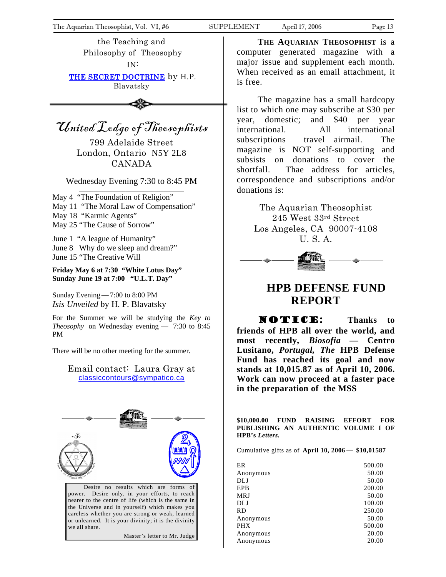<span id="page-12-0"></span>the Teaching and Philosophy of Theosophy IN:

THE SECRET DOCTRINE by H.P. Blavatsky

United Lodge of Theosophists

799 Adelaide Street London, Ontario N5Y 2L8 CANADA

Wednesday Evening 7:30 to 8:45 PM

May 4 "The Foundation of Religion" May 11 "The Moral Law of Compensation" May 18 "Karmic Agents" May 25 "The Cause of Sorrow"

June 1 "A league of Humanity" June 8 Why do we sleep and dream?" June 15 "The Creative Will

**Friday May 6 at 7:30 "White Lotus Day" Sunday June 19 at 7:00 "U.L.T. Day"** 

Sunday Evening—7:00 to 8:00 PM *Isis Unveiled* by H. P. Blavatsky

For the Summer we will be studying the *Key to Theosophy* on Wednesday evening — 7:30 to 8:45 PM

There will be no other meeting for the summer.

#### Email contact: Laura Gray at [classiccontours@sympatico.ca](mailto:classiccontours@sympatico.ca)



Desire no results which are forms of power. Desire only, in your efforts, to reach nearer to the centre of life (which is the same in the Universe and in yourself) which makes you careless whether you are strong or weak, learned or unlearned. It is your divinity; it is the divinity we all share.

Master's letter to Mr. Judge

**THE AQUARIAN THEOSOPHIST** is a computer generated magazine with a major issue and supplement each month. When received as an email attachment, it is free.

The magazine has a small hardcopy list to which one may subscribe at \$30 per year, domestic; and \$40 per year international. All international subscriptions travel airmail. The magazine is NOT self-supporting and subsists on donations to cover the shortfall. Thae address for articles, correspondence and subscriptions and/or donations is:

> The Aquarian Theosophist 245 West 33rd Street Los Angeles, CA 90007-4108 U. S. A.



## **HPB DEFENSE FUND REPORT**

**NOTICE:** Thanks to **friends of HPB all over the world, and most recently,** *Biosofia —* **Centro Lusitano,** *Portugal, The* **HPB Defense Fund has reached its goal and now stands at 10,015.87 as of April 10, 2006. Work can now proceed at a faster pace in the preparation of the MSS** 

**\$10,000.00 FUND RAISING EFFORT FOR PUBLISHING AN AUTHENTIC VOLUME I OF HPB's** *Letters.* 

Cumulative gifts as of **April 10, 2006 — \$10,01587** 

| 500.00 |
|--------|
| 50.00  |
| 50.00  |
| 200.00 |
| 50.00  |
| 100.00 |
| 250.00 |
| 50.00  |
| 500.00 |
| 20.00  |
| 20.00  |
|        |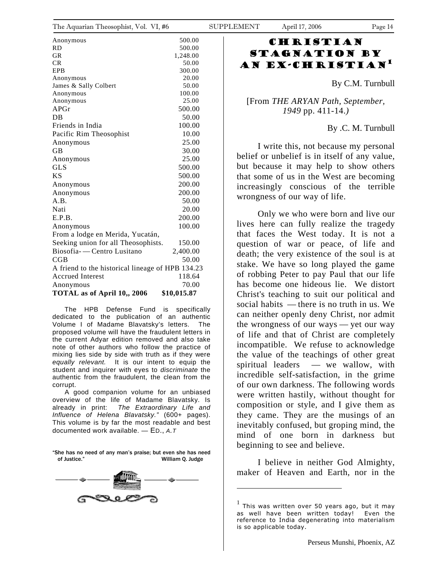| THE $\Lambda$ quarian Theosophist, VOI. VI, $\#0$ |             | SUFFLE |
|---------------------------------------------------|-------------|--------|
| Anonymous                                         | 500.00      |        |
| RD                                                | 500.00      |        |
| GR                                                | 1,248.00    |        |
| CR                                                | 50.00       |        |
| EPB                                               | 300.00      |        |
| Anonymous                                         | 20.00       |        |
| James & Sally Colbert                             | 50.00       |        |
| Anonymous                                         | 100.00      |        |
| Anonymous                                         | 25.00       |        |
| APGr                                              | 500.00      |        |
| DB                                                | 50.00       |        |
| Friends in India                                  | 100.00      |        |
| Pacific Rim Theosophist                           | 10.00       |        |
| Anonymous                                         | 25.00       |        |
| GВ                                                | 30.00       |        |
| Anonymous                                         | 25.00       |        |
| <b>GLS</b>                                        | 500.00      |        |
| ΚS                                                | 500.00      |        |
| Anonymous                                         | 200.00      |        |
| Anonymous                                         | 200.00      |        |
| A.B.                                              | 50.00       |        |
| Nati                                              | 20.00       |        |
| E.P.B.                                            | 200.00      |        |
| Anonymous                                         | 100.00      |        |
| From a lodge en Merida, Yucatán,                  |             |        |
| Seeking union for all Theosophists.               | 150.00      |        |
| Biosofia- - Centro Lusitano                       | 2,400.00    |        |
| $_{\rm CGB}$                                      | 50.00       |        |
| A friend to the historical lineage of HPB 134.23  |             |        |
| <b>Accrued Interest</b>                           | 118.64      |        |
| Anonymous                                         | 70.00       |        |
| TOTAL as of April 10,, 2006                       | \$10,015.87 |        |

 The HPB Defense Fund is specifically dedicated to the publication of an authentic Volume I of Madame Blavatsky's letters. The proposed volume will have the fraudulent letters in the current Adyar edition removed and also take note of other authors who follow the practice of mixing lies side by side with truth as if they were *equally relevant.* It is our intent to equip the student and inquirer with eyes to *discriminate* the authentic from the fraudulent, the clean from the corrupt.

 A good companion volume for an unbiased overview of the life of Madame Blavatsky. Is already in print: *The Extraordinary Life and Influence of Helena Blavatsky."* (600+ pages). This volume is by far the most readable and best documented work available. — ED., *A.T*

"She has no need of any man's praise; but even she has need of Justice." William Q. Judge

<span id="page-13-0"></span>

### **CHRISTIAN** Stagnation by an Ex-Christian[1](#page-13-0)

By C.M. Turnbull

[From *THE ARYAN Path, September, 1949* pp. 411-14.*)* 

#### By .C. M. Turnbull

I write this, not because my personal belief or unbelief is in itself of any value, but because it may help to show others that some of us in the West are becoming increasingly conscious of the terrible wrongness of our way of life.

Only we who were born and live our lives here can fully realize the tragedy that faces the West today. It is not a question of war or peace, of life and death; the very existence of the soul is at stake. We have so long played the game of robbing Peter to pay Paul that our life has become one hideous lie. We distort Christ's teaching to suit our political and social habits — there is no truth in us. We can neither openly deny Christ, nor admit the wrongness of our ways — yet our way of life and that of Christ are completely incompatible. We refuse to acknowledge the value of the teachings of other great spiritual leaders — we wallow, with incredible self-satisfaction, in the grime of our own darkness. The following words were written hastily, without thought for composition or style, and I give them as they came. They are the musings of an inevitably confused, but groping mind, the mind of one born in darkness but beginning to see and believe.

I believe in neither God Almighty, maker of Heaven and Earth, nor in the

 $\overline{a}$ 

This was written over 50 years ago, but it may as well have been written today! Even the reference to India degenerating into materialism is so applicable today.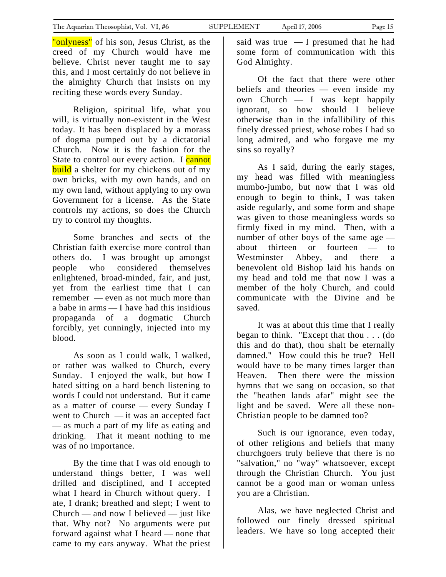"onlyness" of his son, Jesus Christ, as the creed of my Church would have me believe. Christ never taught me to say this, and I most certainly do not believe in the almighty Church that insists on my reciting these words every Sunday.

Religion, spiritual life, what you will, is virtually non-existent in the West today. It has been displaced by a morass of dogma pumped out by a dictatorial Church. Now it is the fashion for the State to control our every action. I cannot **build** a shelter for my chickens out of my own bricks, with my own hands, and on my own land, without applying to my own Government for a license. As the State controls my actions, so does the Church try to control my thoughts.

Some branches and sects of the Christian faith exercise more control than others do. I was brought up amongst people who considered themselves enlightened, broad-minded, fair, and just, yet from the earliest time that I can remember — even as not much more than a babe in arms — I have had this insidious propaganda of a dogmatic Church forcibly, yet cunningly, injected into my blood.

As soon as I could walk, I walked, or rather was walked to Church, every Sunday. I enjoyed the walk, but how I hated sitting on a hard bench listening to words I could not understand. But it came as a matter of course — every Sunday I went to Church — it was an accepted fact — as much a part of my life as eating and drinking. That it meant nothing to me was of no importance.

By the time that I was old enough to understand things better, I was well drilled and disciplined, and I accepted what I heard in Church without query. I ate, I drank; breathed and slept; I went to Church — and now I believed — just like that. Why not? No arguments were put forward against what I heard — none that came to my ears anyway. What the priest said was true — I presumed that he had some form of communication with this God Almighty.

Of the fact that there were other beliefs and theories — even inside my own Church — I was kept happily ignorant, so how should I believe otherwise than in the infallibility of this finely dressed priest, whose robes I had so long admired, and who forgave me my sins so royally?

As I said, during the early stages, my head was filled with meaningless mumbo-jumbo, but now that I was old enough to begin to think, I was taken aside regularly, and some form and shape was given to those meaningless words so firmly fixed in my mind. Then, with a number of other boys of the same age about thirteen or fourteen — to Westminster Abbey, and there a benevolent old Bishop laid his hands on my head and told me that now I was a member of the holy Church, and could communicate with the Divine and be saved.

It was at about this time that I really began to think. "Except that thou . . . (do this and do that), thou shalt be eternally damned." How could this be true? Hell would have to be many times larger than Heaven. Then there were the mission hymns that we sang on occasion, so that the "heathen lands afar" might see the light and be saved. Were all these non-Christian people to be damned too?

Such is our ignorance, even today, of other religions and beliefs that many churchgoers truly believe that there is no "salvation," no "way" whatsoever, except through the Christian Church. You just cannot be a good man or woman unless you are a Christian.

Alas, we have neglected Christ and followed our finely dressed spiritual leaders. We have so long accepted their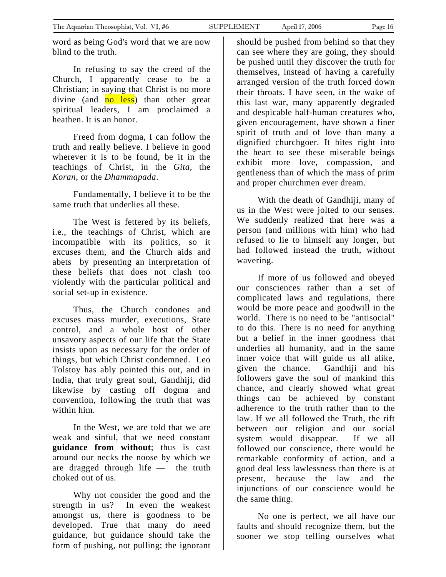<span id="page-15-0"></span>word as being God's word that we are now blind to the truth.

In refusing to say the creed of the Church, I apparently cease to be a Christian; in saying that Christ is no more divine (and  $\overline{no}$  less) than other great spiritual leaders, I am proclaimed a heathen. It is an honor.

Freed from dogma, I can follow the truth and really believe. I believe in good wherever it is to be found, be it in the teachings of Christ, in the *Gita*, the *Koran*, or the *Dhammapada*.

Fundamentally, I believe it to be the same truth that underlies all these.

The West is fettered by its beliefs, i.e., the teachings of Christ, which are incompatible with its politics, so it excuses them, and the Church aids and abets by presenting an interpretation of these beliefs that does not clash too violently with the particular political and social set-up in existence.

Thus, the Church condones and excuses mass murder, executions, State control, and a whole host of other unsavory aspects of our life that the State insists upon as necessary for the order of things, but which Christ condemned. Leo Tolstoy has ably pointed this out, and in India, that truly great soul, Gandhiji, did likewise by casting off dogma and convention, following the truth that was within him.

In the West, we are told that we are weak and sinful, that we need constant **guidance from without**; thus is cast around our necks the noose by which we are dragged through life — the truth choked out of us.

Why not consider the good and the strength in us? In even the weakest amongst us, there is goodness to be developed. True that many do need guidance, but guidance should take the form of pushing, not pulling; the ignorant

should be pushed from behind so that they can see where they are going, they should be pushed until they discover the truth for themselves, instead of having a carefully arranged version of the truth forced down their throats. I have seen, in the wake of this last war, many apparently degraded and despicable half-human creatures who, given encouragement, have shown a finer spirit of truth and of love than many a dignified churchgoer. It bites right into the heart to see these miserable beings exhibit more love, compassion, and gentleness than of which the mass of prim and proper churchmen ever dream.

With the death of Gandhiji, many of us in the West were jolted to our senses. We suddenly realized that here was a person (and millions with him) who had refused to lie to himself any longer, but had followed instead the truth, without wavering.

If more of us followed and obeyed our consciences rather than a set of complicated laws and regulations, there would be more peace and goodwill in the world. There is no need to be "antisocial" to do this. There is no need for anything but a belief in the inner goodness that underlies all humanity, and in the same inner voice that will guide us all alike, given the chance. Gandhiji and his followers gave the soul of mankind this chance, and clearly showed what great things can be achieved by constant adherence to the truth rather than to the law. If we all followed the Truth, the rift between our religion and our social system would disappear. If we all followed our conscience, there would be remarkable conformity of action, and a good deal less lawlessness than there is at present, because the law and the injunctions of our conscience would be the same thing.

No one is perfect, we all have our faults and should recognize them, but the sooner we stop telling ourselves what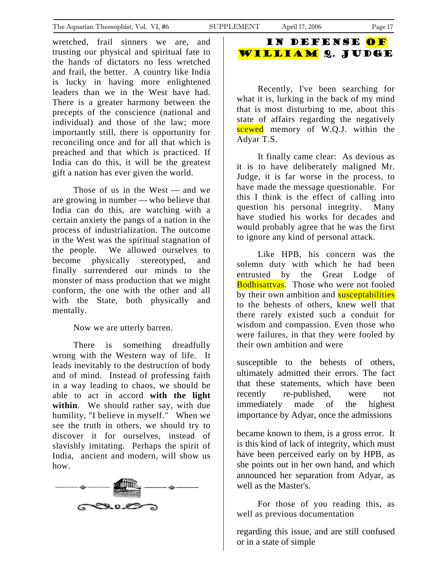wretched, frail sinners we are, and trusting our physical and spiritual fate to the hands of dictators no less wretched and frail, the better. A country like India is lucky in having more enlightened leaders than we in the West have had. There is a greater harmony between the precepts of the conscience (national and individual) and those of the law; more importantly still, there is opportunity for reconciling once and for all that which is preached and that which is practiced. If India can do this, it will be the greatest gift a nation has ever given the world.

Those of us in the West — and we are growing in number — who believe that India can do this, are watching with a certain anxiety the pangs of a nation in the process of industrialization. The outcome in the West was the spiritual stagnation of the people. We allowed ourselves to become physically stereotyped, and finally surrendered our minds to the monster of mass production that we might conform, the one with the other and all with the State, both physically and mentally.

Now we are utterly barren.

There is something dreadfully wrong with the Western way of life. It leads inevitably to the destruction of body and of mind. Instead of professing faith in a way leading to chaos, we should be able to act in accord **with the light within**. We should rather say, with due humility, "I believe in myself." When we see the truth in others, we should try to discover it for ourselves, instead of slavishly imitating. Perhaps the spirit of India, ancient and modern, will show us how.



## In Defense of William Q. Judge

Recently, I've been searching for what it is, lurking in the back of my mind that is most disturbing to me, about this state of affairs regarding the negatively scewed memory of W.Q.J. within the Adyar T.S.

It finally came clear: As devious as it is to have deliberately maligned Mr. Judge, it is far worse in the process, to have made the message questionable. For this I think is the effect of calling into question his personal integrity. Many have studied his works for decades and would probably agree that he was the first to ignore any kind of personal attack.

Like HPB, his concern was the solemn duty with which he had been entrusted by the Great Lodge of Bodhisattvas. Those who were not fooled by their own ambition and **susceptabilities** to the behests of others, knew well that there rarely existed such a conduit for wisdom and compassion. Even those who were failures, in that they were fooled by their own ambition and were

susceptible to the behests of others, ultimately admitted their errors. The fact that these statements, which have been recently re-published, were not immediately made of the highest importance by Adyar, once the admissions

became known to them, is a gross error. It is this kind of lack of integrity, which must have been perceived early on by HPB, as she points out in her own hand, and which announced her separation from Adyar, as well as the Master's.

For those of you reading this, as well as previous documentation

regarding this issue, and are still confused or in a state of simple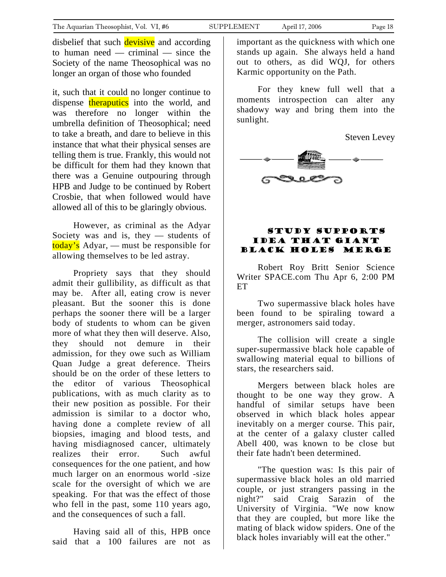<span id="page-17-0"></span>disbelief that such **devisive** and according to human need — criminal — since the Society of the name Theosophical was no longer an organ of those who founded

it, such that it could no longer continue to dispense theraputics into the world, and was therefore no longer within the umbrella definition of Theosophical; need to take a breath, and dare to believe in this instance that what their physical senses are telling them is true. Frankly, this would not be difficult for them had they known that there was a Genuine outpouring through HPB and Judge to be continued by Robert Crosbie, that when followed would have allowed all of this to be glaringly obvious.

However, as criminal as the Adyar Society was and is, they — students of today's Adyar, — must be responsible for allowing themselves to be led astray.

Propriety says that they should admit their gullibility, as difficult as that may be. After all, eating crow is never pleasant. But the sooner this is done perhaps the sooner there will be a larger body of students to whom can be given more of what they then will deserve. Also, they should not demure in their admission, for they owe such as William Quan Judge a great deference. Theirs should be on the order of these letters to the editor of various Theosophical publications, with as much clarity as to their new position as possible. For their admission is similar to a doctor who, having done a complete review of all biopsies, imaging and blood tests, and having misdiagnosed cancer, ultimately realizes their error. Such awful consequences for the one patient, and how much larger on an enormous world -size scale for the oversight of which we are speaking. For that was the effect of those who fell in the past, some 110 years ago, and the consequences of such a fall.

Having said all of this, HPB once said that a 100 failures are not as important as the quickness with which one stands up again. She always held a hand out to others, as did WQJ, for others Karmic opportunity on the Path.

For they knew full well that a moments introspection can alter any shadowy way and bring them into the sunlight.



#### Study supports idea that giant black holes merge

Robert Roy Britt Senior Science Writer SPACE.com Thu Apr 6, 2:00 PM **ET** 

Two supermassive black holes have been found to be spiraling toward a merger, astronomers said today.

The collision will create a single super-supermassive black hole capable of swallowing material equal to billions of stars, the researchers said.

Mergers between black holes are thought to be one way they grow. A handful of similar setups have been observed in which black holes appear inevitably on a merger course. This pair, at the center of a galaxy cluster called Abell 400, was known to be close but their fate hadn't been determined.

"The question was: Is this pair of supermassive black holes an old married couple, or just strangers passing in the night?" said Craig Sarazin of the University of Virginia. "We now know that they are coupled, but more like the mating of black widow spiders. One of the black holes invariably will eat the other."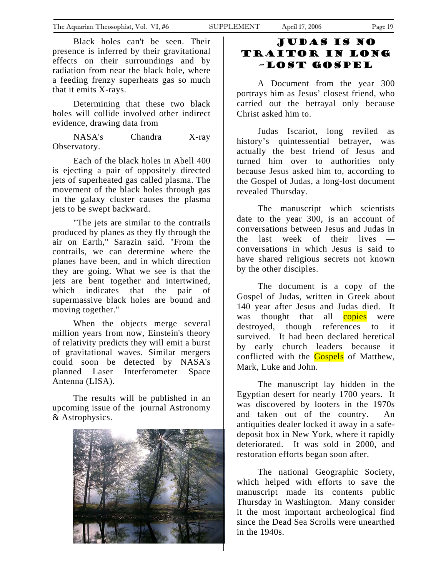<span id="page-18-0"></span>Black holes can't be seen. Their presence is inferred by their gravitational effects on their surroundings and by radiation from near the black hole, where a feeding frenzy superheats gas so much that it emits X-rays.

Determining that these two black holes will collide involved other indirect evidence, drawing data from

NASA's Chandra X-ray Observatory.

Each of the black holes in Abell 400 is ejecting a pair of oppositely directed jets of superheated gas called plasma. The movement of the black holes through gas in the galaxy cluster causes the plasma jets to be swept backward.

"The jets are similar to the contrails produced by planes as they fly through the air on Earth," Sarazin said. "From the contrails, we can determine where the planes have been, and in which direction they are going. What we see is that the jets are bent together and intertwined, which indicates that the pair of supermassive black holes are bound and moving together."

When the objects merge several million years from now, Einstein's theory of relativity predicts they will emit a burst of gravitational waves. Similar mergers could soon be detected by NASA's planned Laser Interferometer Space Antenna (LISA).

The results will be published in an upcoming issue of the journal Astronomy & Astrophysics.



### Judas is no Traitor in long –lost gospel

A Document from the year 300 portrays him as Jesus' closest friend, who carried out the betrayal only because Christ asked him to.

Judas Iscariot, long reviled as history's quintessential betrayer, was actually the best friend of Jesus and turned him over to authorities only because Jesus asked him to, according to the Gospel of Judas, a long-lost document revealed Thursday.

The manuscript which scientists date to the year 300, is an account of conversations between Jesus and Judas in the last week of their lives conversations in which Jesus is said to have shared religious secrets not known by the other disciples.

The document is a copy of the Gospel of Judas, written in Greek about 140 year after Jesus and Judas died. It was thought that all **copies** were destroyed, though references to it survived. It had been declared heretical by early church leaders because it conflicted with the **Gospels** of Matthew, Mark, Luke and John.

The manuscript lay hidden in the Egyptian desert for nearly 1700 years. It was discovered by looters in the 1970s and taken out of the country. An antiquities dealer locked it away in a safedeposit box in New York, where it rapidly deteriorated. It was sold in 2000, and restoration efforts began soon after.

The national Geographic Society, which helped with efforts to save the manuscript made its contents public Thursday in Washington. Many consider it the most important archeological find since the Dead Sea Scrolls were unearthed in the 1940s.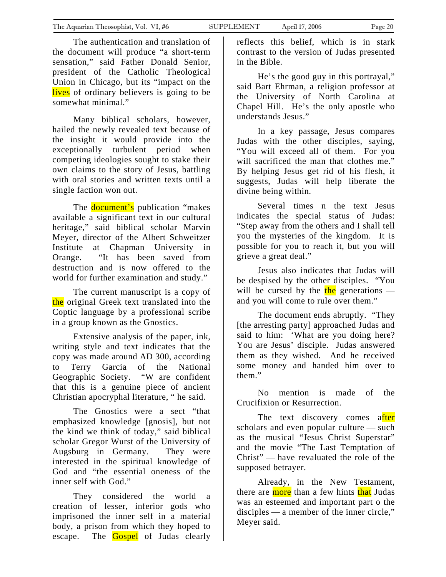The authentication and translation of the document will produce "a short-term sensation," said Father Donald Senior, president of the Catholic Theological Union in Chicago, but its "impact on the lives of ordinary believers is going to be somewhat minimal."

Many biblical scholars, however, hailed the newly revealed text because of the insight it would provide into the exceptionally turbulent period when competing ideologies sought to stake their own claims to the story of Jesus, battling with oral stories and written texts until a single faction won out.

The **document's** publication "makes" available a significant text in our cultural heritage," said biblical scholar Marvin Meyer, director of the Albert Schweitzer Institute at Chapman University in Orange. "It has been saved from destruction and is now offered to the world for further examination and study."

The current manuscript is a copy of the original Greek text translated into the Coptic language by a professional scribe in a group known as the Gnostics.

Extensive analysis of the paper, ink, writing style and text indicates that the copy was made around AD 300, according to Terry Garcia of the National Geographic Society. "W are confident that this is a genuine piece of ancient Christian apocryphal literature, " he said.

The Gnostics were a sect "that emphasized knowledge [gnosis], but not the kind we think of today," said biblical scholar Gregor Wurst of the University of Augsburg in Germany. They were interested in the spiritual knowledge of God and "the essential oneness of the inner self with God."

They considered the world a creation of lesser, inferior gods who imprisoned the inner self in a material body, a prison from which they hoped to escape. The **Gospel** of Judas clearly reflects this belief, which is in stark contrast to the version of Judas presented in the Bible.

He's the good guy in this portrayal," said Bart Ehrman, a religion professor at the University of North Carolina at Chapel Hill. He's the only apostle who understands Jesus."

In a key passage, Jesus compares Judas with the other disciples, saying, "You will exceed all of them. For you will sacrificed the man that clothes me." By helping Jesus get rid of his flesh, it suggests, Judas will help liberate the divine being within.

Several times n the text Jesus indicates the special status of Judas: "Step away from the others and I shall tell you the mysteries of the kingdom. It is possible for you to reach it, but you will grieve a great deal."

Jesus also indicates that Judas will be despised by the other disciples. "You will be cursed by the  $\frac{\text{the}}{\text{the}}$  generations and you will come to rule over them."

The document ends abruptly. "They [the arresting party] approached Judas and said to him: 'What are you doing here? You are Jesus' disciple. Judas answered them as they wished. And he received some money and handed him over to them."

No mention is made of the Crucifixion or Resurrection.

The text discovery comes after scholars and even popular culture — such as the musical "Jesus Christ Superstar" and the movie "The Last Temptation of Christ" — have revaluated the role of the supposed betrayer.

Already, in the New Testament, there are more than a few hints that Judas was an esteemed and important part o the disciples — a member of the inner circle," Meyer said.